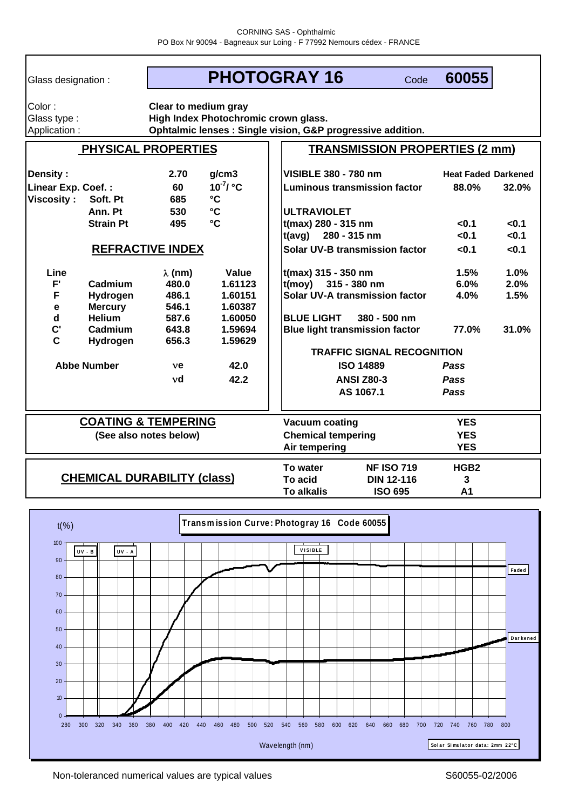| Glass designation :                                                                         |                                                                                                     |                                                                                  | <b>PHOTOGRAY 16</b>                                                                     |                                                                                                                                                                                                                                                | Code                                    | 60055                                                 |                               |
|---------------------------------------------------------------------------------------------|-----------------------------------------------------------------------------------------------------|----------------------------------------------------------------------------------|-----------------------------------------------------------------------------------------|------------------------------------------------------------------------------------------------------------------------------------------------------------------------------------------------------------------------------------------------|-----------------------------------------|-------------------------------------------------------|-------------------------------|
| Color:<br>Glass type:<br>Application:                                                       |                                                                                                     | Clear to medium gray                                                             | High Index Photochromic crown glass.                                                    | Ophtalmic lenses : Single vision, G&P progressive addition.                                                                                                                                                                                    |                                         |                                                       |                               |
| <b>PHYSICAL PROPERTIES</b>                                                                  |                                                                                                     |                                                                                  | <b>TRANSMISSION PROPERTIES (2 mm)</b>                                                   |                                                                                                                                                                                                                                                |                                         |                                                       |                               |
| Density:<br>Linear Exp. Coef.:<br><b>Viscosity:</b>                                         | Soft. Pt<br>Ann. Pt<br><b>Strain Pt</b>                                                             | 2.70<br>60<br>685<br>530<br>495                                                  | q/cm3<br>$10^{-7}$ / $^{\circ}$ C<br>$\mathbf{C}$<br>$\mathbf{C}$<br>°C                 | <b>VISIBLE 380 - 780 nm</b><br><b>Luminous transmission factor</b><br><b>ULTRAVIOLET</b><br>t(max) 280 - 315 nm                                                                                                                                |                                         | <b>Heat Faded Darkened</b><br>88.0%<br>< 0.1          | 32.0%<br>< 0.1                |
|                                                                                             |                                                                                                     | <b>REFRACTIVE INDEX</b>                                                          |                                                                                         | 280 - 315 nm<br>t(avg)<br><b>Solar UV-B transmission factor</b>                                                                                                                                                                                |                                         | < 0.1<br>< 0.1                                        | < 0.1<br>< 0.1                |
| Line<br>F'<br>F<br>е<br>$\operatorname{\mathsf{d}}$<br>$\mathbf{C}^{\prime}$<br>$\mathbf C$ | Cadmium<br>Hydrogen<br><b>Mercury</b><br><b>Helium</b><br>Cadmium<br>Hydrogen<br><b>Abbe Number</b> | $\lambda$ (nm)<br>480.0<br>486.1<br>546.1<br>587.6<br>643.8<br>656.3<br>ve<br>νd | Value<br>1.61123<br>1.60151<br>1.60387<br>1.60050<br>1.59694<br>1.59629<br>42.0<br>42.2 | t(max) 315 - 350 nm<br>$t(moy)$ 315 - 380 nm<br><b>Solar UV-A transmission factor</b><br><b>BLUE LIGHT</b><br><b>Blue light transmission factor</b><br><b>TRAFFIC SIGNAL RECOGNITION</b><br><b>ISO 14889</b><br><b>ANSI Z80-3</b><br>AS 1067.1 | 380 - 500 nm                            | 1.5%<br>6.0%<br>4.0%<br>77.0%<br>Pass<br>Pass<br>Pass | 1.0%<br>2.0%<br>1.5%<br>31.0% |
| <b>COATING &amp; TEMPERING</b><br>(See also notes below)                                    |                                                                                                     |                                                                                  |                                                                                         | <b>Vacuum coating</b><br><b>Chemical tempering</b><br>Air tempering                                                                                                                                                                            |                                         | <b>YES</b><br><b>YES</b><br><b>YES</b>                |                               |
| <b>CHEMICAL DURABILITY (class)</b>                                                          |                                                                                                     |                                                                                  | To water<br>To acid<br><b>To alkalis</b>                                                | <b>NF ISO 719</b><br><b>DIN 12-116</b><br><b>ISO 695</b>                                                                                                                                                                                       | HGB <sub>2</sub><br>3<br>A <sub>1</sub> |                                                       |                               |
| Transmission Curve: Photogray 16 Code 60055<br>t(96)                                        |                                                                                                     |                                                                                  |                                                                                         |                                                                                                                                                                                                                                                |                                         |                                                       |                               |